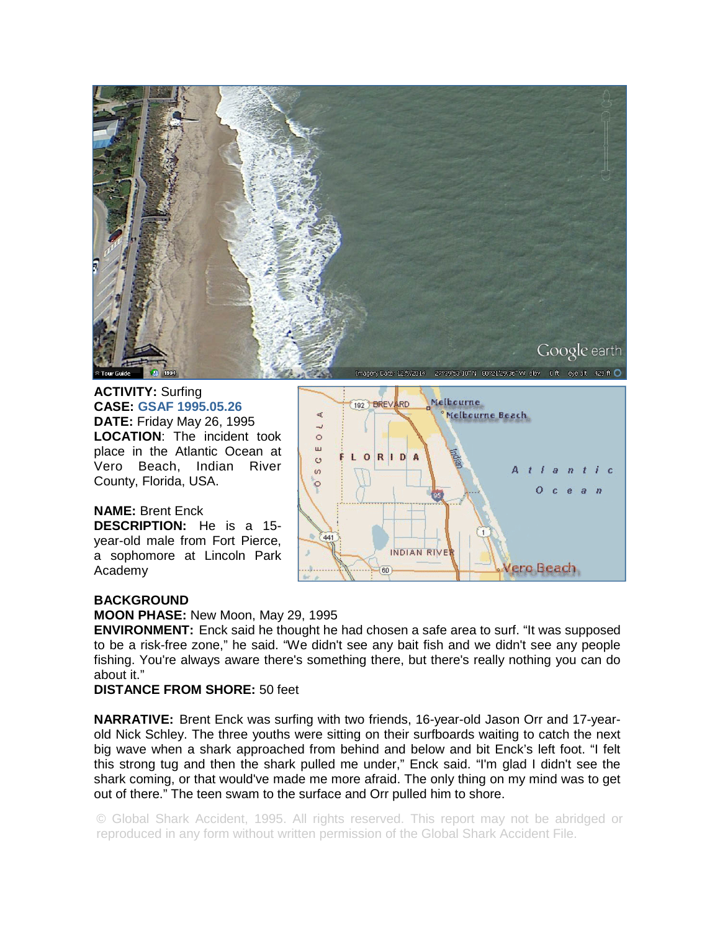

**ACTIVITY:** Surfing **CASE: GSAF 1995.05.26 DATE:** Friday May 26, 1995 **LOCATION**: The incident took place in the Atlantic Ocean at Vero Beach, Indian River County, Florida, USA.

**NAME:** Brent Enck **DESCRIPTION:** He is a 15 year-old male from Fort Pierce, a sophomore at Lincoln Park Academy



## **BACKGROUND**

**MOON PHASE:** New Moon, May 29, 1995

**ENVIRONMENT:** Enck said he thought he had chosen a safe area to surf. "It was supposed to be a risk-free zone," he said. "We didn't see any bait fish and we didn't see any people fishing. You're always aware there's something there, but there's really nothing you can do about it."

## **DISTANCE FROM SHORE:** 50 feet

**NARRATIVE:** Brent Enck was surfing with two friends, 16-year-old Jason Orr and 17-yearold Nick Schley. The three youths were sitting on their surfboards waiting to catch the next big wave when a shark approached from behind and below and bit Enck's left foot. "I felt this strong tug and then the shark pulled me under," Enck said. "I'm glad I didn't see the shark coming, or that would've made me more afraid. The only thing on my mind was to get out of there." The teen swam to the surface and Orr pulled him to shore.

© Global Shark Accident, 1995. All rights reserved. This report may not be abridged or reproduced in any form without written permission of the Global Shark Accident File.